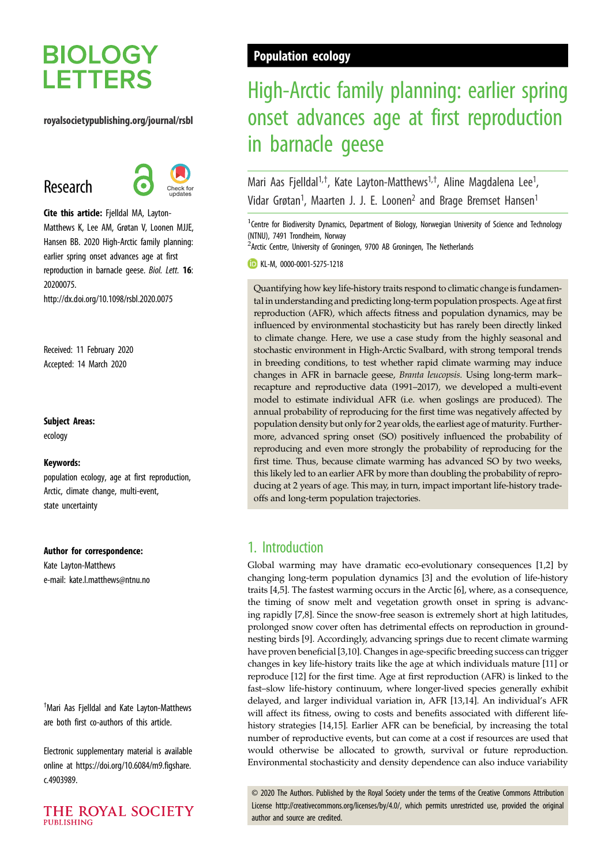# **BIOLOGY LETTERS**

#### royalsocietypublishing.org/journal/rsbl

# Research



Cite this article: Fjelldal MA, Layton-Matthews K, Lee AM, Grøtan V, Loonen MJJE, Hansen BB. 2020 High-Arctic family planning: earlier spring onset advances age at first reproduction in barnacle geese. Biol. Lett. 16: 20200075. http://dx.doi.org/10.1098/rsbl.2020.0075

Received: 11 February 2020 Accepted: 14 March 2020

#### Subject Areas:

ecology

#### Keywords:

population ecology, age at first reproduction, Arctic, climate change, multi-event, state uncertainty

#### Author for correspondence:

Kate Layton-Matthews e-mail: [kate.l.matthews@ntnu.no](mailto:kate.l.matthews@ntnu.no)

† Mari Aas Fjelldal and Kate Layton-Matthews are both first co-authors of this article.

Electronic supplementary material is available online at [https://doi.org/10.6084/m9.figshare.](https://doi.org/10.6084/m9.figshare.c.4903989) [c.4903989.](https://doi.org/10.6084/m9.figshare.c.4903989)



# Population ecology

# High-Arctic family planning: earlier spring onset advances age at first reproduction in barnacle geese

Mari Aas Fjelldal<sup>1,†</sup>, Kate Layton-Matthews<sup>1,†</sup>, Aline Magdalena Lee<sup>1</sup> , Vidar Grøtan<sup>1</sup>, Maarten J. J. E. Loonen<sup>2</sup> and Brage Bremset Hansen<sup>1</sup>

<sup>1</sup> Centre for Biodiversity Dynamics, Department of Biology, Norwegian University of Science and Technology (NTNU), 7491 Trondheim, Norway

<sup>2</sup> Arctic Centre, University of Groningen, 9700 AB Groningen, The Netherlands

KL-M, [0000-0001-5275-1218](http://orcid.org/0000-0001-5275-1218)

Quantifying how key life-history traits respond to climatic change is fundamental in understanding and predicting long-term population prospects. Age at first reproduction (AFR), which affects fitness and population dynamics, may be influenced by environmental stochasticity but has rarely been directly linked to climate change. Here, we use a case study from the highly seasonal and stochastic environment in High-Arctic Svalbard, with strong temporal trends in breeding conditions, to test whether rapid climate warming may induce changes in AFR in barnacle geese, Branta leucopsis. Using long-term mark– recapture and reproductive data (1991–2017), we developed a multi-event model to estimate individual AFR (i.e. when goslings are produced). The annual probability of reproducing for the first time was negatively affected by population density but only for 2 year olds, the earliest age of maturity. Furthermore, advanced spring onset (SO) positively influenced the probability of reproducing and even more strongly the probability of reproducing for the first time. Thus, because climate warming has advanced SO by two weeks, this likely led to an earlier AFR by more than doubling the probability of reproducing at 2 years of age. This may, in turn, impact important life-history tradeoffs and long-term population trajectories.

# 1. Introduction

Global warming may have dramatic eco-evolutionary consequences [\[1,2\]](#page-4-0) by changing long-term population dynamics [\[3\]](#page-4-0) and the evolution of life-history traits [[4,5\]](#page-4-0). The fastest warming occurs in the Arctic [\[6\]](#page-4-0), where, as a consequence, the timing of snow melt and vegetation growth onset in spring is advancing rapidly [[7,8\]](#page-4-0). Since the snow-free season is extremely short at high latitudes, prolonged snow cover often has detrimental effects on reproduction in groundnesting birds [[9](#page-4-0)]. Accordingly, advancing springs due to recent climate warming have proven beneficial [\[3,10](#page-4-0)]. Changes in age-specific breeding success can trigger changes in key life-history traits like the age at which individuals mature [[11](#page-4-0)] or reproduce [[12\]](#page-4-0) for the first time. Age at first reproduction (AFR) is linked to the fast–slow life-history continuum, where longer-lived species generally exhibit delayed, and larger individual variation in, AFR [\[13](#page-4-0)[,14](#page-5-0)]. An individual's AFR will affect its fitness, owing to costs and benefits associated with different lifehistory strategies [[14](#page-5-0),[15\]](#page-5-0). Earlier AFR can be beneficial, by increasing the total number of reproductive events, but can come at a cost if resources are used that would otherwise be allocated to growth, survival or future reproduction. Environmental stochasticity and density dependence can also induce variability

© 2020 The Authors. Published by the Royal Society under the terms of the Creative Commons Attribution License<http://creativecommons.org/licenses/by/4.0/>, which permits unrestricted use, provided the original author and source are credited.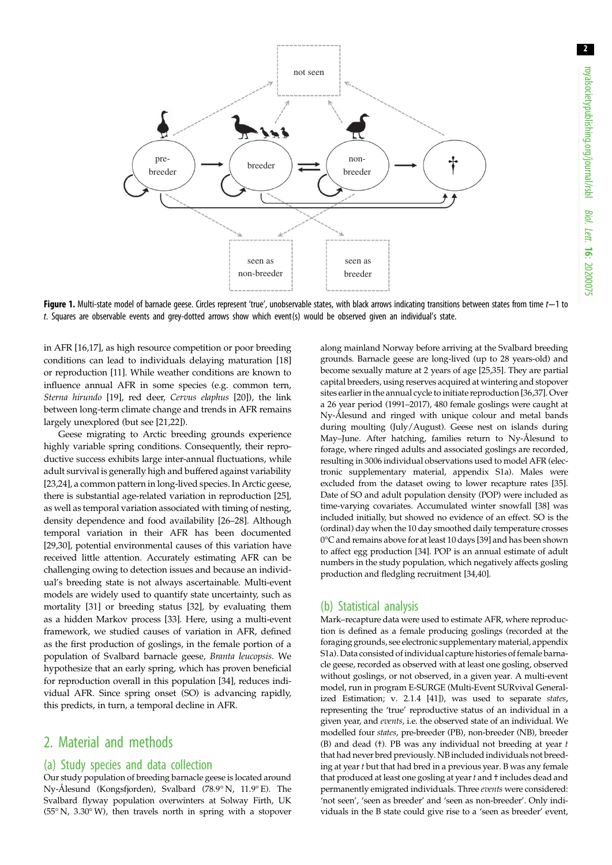2

<span id="page-1-0"></span>

Figure 1. Multi-state model of barnacle geese. Circles represent 'true', unobservable states, with black arrows indicating transitions between states from time t-1 to t. Squares are observable events and grey-dotted arrows show which event(s) would be observed given an individual's state.

in AFR [[16](#page-5-0),[17\]](#page-5-0), as high resource competition or poor breeding conditions can lead to individuals delaying maturation [[18\]](#page-5-0) or reproduction [\[11\]](#page-4-0). While weather conditions are known to influence annual AFR in some species (e.g. common tern, Sterna hirundo [\[19](#page-5-0)], red deer, Cervus elaphus [\[20](#page-5-0)]), the link between long-term climate change and trends in AFR remains largely unexplored (but see [[21,22\]](#page-5-0)).

Geese migrating to Arctic breeding grounds experience highly variable spring conditions. Consequently, their reproductive success exhibits large inter-annual fluctuations, while adult survival is generally high and buffered against variability [\[23,24](#page-5-0)], a common pattern in long-lived species. In Arctic geese, there is substantial age-related variation in reproduction [\[25](#page-5-0)], as well as temporal variation associated with timing of nesting, density dependence and food availability [\[26](#page-5-0)–[28](#page-5-0)]. Although temporal variation in their AFR has been documented [\[29,30](#page-5-0)], potential environmental causes of this variation have received little attention. Accurately estimating AFR can be challenging owing to detection issues and because an individual's breeding state is not always ascertainable. Multi-event models are widely used to quantify state uncertainty, such as mortality [\[31](#page-5-0)] or breeding status [[32\]](#page-5-0), by evaluating them as a hidden Markov process [\[33](#page-5-0)]. Here, using a multi-event framework, we studied causes of variation in AFR, defined as the first production of goslings, in the female portion of a population of Svalbard barnacle geese, Branta leucopsis. We hypothesize that an early spring, which has proven beneficial for reproduction overall in this population [\[34](#page-5-0)], reduces individual AFR. Since spring onset (SO) is advancing rapidly, this predicts, in turn, a temporal decline in AFR.

## 2. Material and methods

### (a) Study species and data collection

Our study population of breeding barnacle geese is located around Ny-Ålesund (Kongsfjorden), Svalbard (78.9° N, 11.9° E). The Svalbard flyway population overwinters at Solway Firth, UK (55° N, 3.30° W), then travels north in spring with a stopover along mainland Norway before arriving at the Svalbard breeding grounds. Barnacle geese are long-lived (up to 28 years-old) and become sexually mature at 2 years of age [\[25,35](#page-5-0)]. They are partial capital breeders, using reserves acquired at wintering and stopover sites earlier in the annual cycle to initiate reproduction [\[36,37](#page-5-0)]. Over a 26 year period (1991–2017), 480 female goslings were caught at Ny-Ålesund and ringed with unique colour and metal bands during moulting (July/August). Geese nest on islands during May–June. After hatching, families return to Ny-Ålesund to forage, where ringed adults and associated goslings are recorded, resulting in 3006 individual observations used to model AFR (electronic supplementary material, appendix S1a). Males were excluded from the dataset owing to lower recapture rates [\[35\]](#page-5-0). Date of SO and adult population density (POP) were included as time-varying covariates. Accumulated winter snowfall [[38](#page-5-0)] was included initially, but showed no evidence of an effect. SO is the (ordinal) day when the 10 day smoothed daily temperature crosses 0°C and remains above for at least 10 days [[39](#page-5-0)] and has been shown to affect egg production [[34](#page-5-0)]. POP is an annual estimate of adult numbers in the study population, which negatively affects gosling production and fledgling recruitment [\[34,40](#page-5-0)].

### (b) Statistical analysis

Mark–recapture data were used to estimate AFR, where reproduction is defined as a female producing goslings (recorded at the foraging grounds, see electronic supplementary material, appendix S1a). Data consisted of individual capture histories of female barnacle geese, recorded as observed with at least one gosling, observed without goslings, or not observed, in a given year. A multi-event model, run in program E-SURGE (Multi-Event SURvival Generalized Estimation; v. 2.1.4 [\[41](#page-5-0)]), was used to separate states, representing the 'true' reproductive status of an individual in a given year, and events, i.e. the observed state of an individual. We modelled four states, pre-breeder (PB), non-breeder (NB), breeder (B) and dead (†). PB was any individual not breeding at year t that had never bred previously. NB included individuals not breeding at year t but that had bred in a previous year. B was any female that produced at least one gosling at year t and  $\dagger$  includes dead and permanently emigrated individuals. Three events were considered: 'not seen', 'seen as breeder' and 'seen as non-breeder'. Only individuals in the B state could give rise to a 'seen as breeder' event,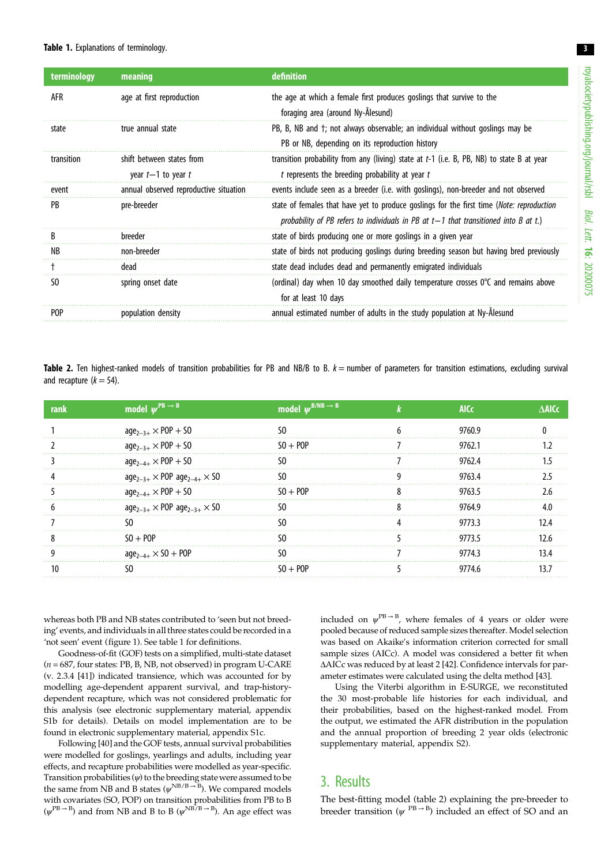| terminology | meaning                                           | definition                                                                                                                                                                          |
|-------------|---------------------------------------------------|-------------------------------------------------------------------------------------------------------------------------------------------------------------------------------------|
| AFR         | age at first reproduction                         | the age at which a female first produces goslings that survive to the<br>foraging area (around Ny-Ålesund)                                                                          |
| state       | true annual state                                 | PB, B, NB and t; not always observable; an individual without goslings may be<br>PB or NB, depending on its reproduction history                                                    |
| transition  | shift between states from<br>year $t-1$ to year t | transition probability from any (living) state at $t-1$ (i.e. B, PB, NB) to state B at year<br>$t$ represents the breeding probability at year $t$                                  |
| event       | annual observed reproductive situation            | events include seen as a breeder (i.e. with goslings), non-breeder and not observed                                                                                                 |
| PB.         | pre-breeder                                       | state of females that have yet to produce goslings for the first time (Note: reproduction<br>probability of PB refers to individuals in PB at $t-1$ that transitioned into B at t.) |
| В           | breeder                                           | state of birds producing one or more goslings in a given year                                                                                                                       |
| NB          | non-breeder                                       | state of birds not producing goslings during breeding season but having bred previously                                                                                             |
|             | dead                                              | state dead includes dead and permanently emigrated individuals                                                                                                                      |
| SO.         | spring onset date                                 | (ordinal) day when 10 day smoothed daily temperature crosses 0°C and remains above<br>for at least 10 days                                                                          |
| POP         | population density                                | annual estimated number of adults in the study population at Ny-Alesund                                                                                                             |

Table 2. Ten highest-ranked models of transition probabilities for PB and NB/B to B.  $k =$  number of parameters for transition estimations, excluding survival and recapture  $(k = 54)$ .

| ran | model $\psi^{PB \to B}$                      | model $\psi^{B/NB \rightarrow B}$ | <b>AICC</b> |  |
|-----|----------------------------------------------|-----------------------------------|-------------|--|
|     | $age_{2-3+} \times POP + SO$                 |                                   | 9760.9      |  |
|     | $age_{2-3+} \times POP + SO$                 | $50 + POP$                        | 9762.1      |  |
|     | $age_{2-4+} \times POP + SO$                 | ۲0                                | 9762.4      |  |
|     | $age_{2-3+} \times POP age_{2-4+} \times SO$ |                                   | 97634       |  |
|     | $age_{2-4+} \times POP + SO$                 | $50 + POP$                        | 9763.5      |  |
|     | $age_{2-3+} \times POP age_{2-3+} \times SO$ |                                   | 9764.9      |  |
|     | 50                                           | מ                                 | 9773.3      |  |
|     | $S_0 + P_0P$                                 |                                   | 9773.5      |  |
|     | $age_{2-4+} \times SO + POP$                 |                                   | 9774 3      |  |
|     |                                              | $SO + POP$                        | 97746       |  |

whereas both PB and NB states contributed to 'seen but not breeding' events, and individuals in all three states could be recorded in a 'not seen' event ([figure 1](#page-1-0)). See table 1 for definitions.

Goodness-of-fit (GOF) tests on a simplified, multi-state dataset  $(n = 687,$  four states: PB, B, NB, not observed) in program U-CARE (v. 2.3.4 [\[41\]](#page-5-0)) indicated transience, which was accounted for by modelling age-dependent apparent survival, and trap-historydependent recapture, which was not considered problematic for this analysis (see electronic supplementary material, appendix S1b for details). Details on model implementation are to be found in electronic supplementary material, appendix S1c.

Following [\[40](#page-5-0)] and the GOF tests, annual survival probabilities were modelled for goslings, yearlings and adults, including year effects, and recapture probabilities were modelled as year-specific. Transition probabilities  $(\psi)$  to the breeding state were assumed to be the same from NB and B states ( $\psi^{NB/B \to B}$ ). We compared models with covariates (SO, POP) on transition probabilities from PB to B  $(\psi^{\text{PB}\rightarrow \text{B}})$  and from NB and B to B  $(\psi^{\text{NB}/\text{B}\rightarrow \text{B}})$ . An age effect was

included on  $\psi^{\text{PB}\rightarrow \text{B}}$ , where females of 4 years or older were pooled because of reduced sample sizes thereafter. Model selection was based on Akaike's information criterion corrected for small sample sizes (AICc). A model was considered a better fit when ΔAICc was reduced by at least 2 [[42](#page-5-0)]. Confidence intervals for parameter estimates were calculated using the delta method [\[43](#page-5-0)].

Using the Viterbi algorithm in E-SURGE, we reconstituted the 30 most-probable life histories for each individual, and their probabilities, based on the highest-ranked model. From the output, we estimated the AFR distribution in the population and the annual proportion of breeding 2 year olds (electronic supplementary material, appendix S2).

## 3. Results

The best-fitting model (table 2) explaining the pre-breeder to breeder transition ( $\psi$ <sup>PB → B</sup>) included an effect of SO and an

3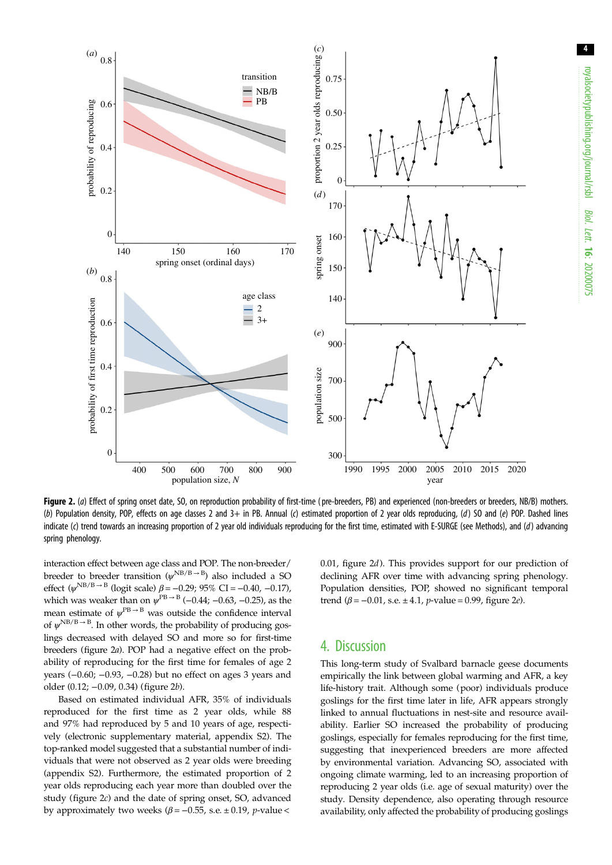

Figure 2. (a) Effect of spring onset date, SO, on reproduction probability of first-time (pre-breeders, PB) and experienced (non-breeders or breeders, NB/B) mothers. (b) Population density, POP, effects on age classes 2 and 3+ in PB. Annual (c) estimated proportion of 2 year olds reproducing, (d) SO and (e) POP. Dashed lines indicate (c) trend towards an increasing proportion of 2 year old individuals reproducing for the first time, estimated with E-SURGE (see Methods), and (d) advancing spring phenology.

interaction effect between age class and POP. The non-breeder/ breeder to breeder transition  $(\psi^{\text{NB}/\text{B}\rightarrow \text{B}})$  also included a SO effect ( $\psi$ <sup>NB/B→B</sup> (logit scale)  $β = -0.29$ ; 95% CI = -0.40, -0.17), which was weaker than on  $\psi^{PB \to B}$  (−0.44; −0.63, −0.25), as the mean estimate of  $\psi^{PB \to B}$  was outside the confidence interval of  $\psi^{\text{NB/B}\rightarrow \text{B}}$ . In other words, the probability of producing goslings decreased with delayed SO and more so for first-time breeders (figure 2a). POP had a negative effect on the probability of reproducing for the first time for females of age 2 years (−0.60; −0.93, −0.28) but no effect on ages 3 years and older (0.12; −0.09, 0.34) (figure 2b).

Based on estimated individual AFR, 35% of individuals reproduced for the first time as 2 year olds, while 88 and 97% had reproduced by 5 and 10 years of age, respectively (electronic supplementary material, appendix S2). The top-ranked model suggested that a substantial number of individuals that were not observed as 2 year olds were breeding (appendix S2). Furthermore, the estimated proportion of 2 year olds reproducing each year more than doubled over the study (figure 2c) and the date of spring onset, SO, advanced by approximately two weeks ( $\beta$  = -0.55, s.e.  $\pm$  0.19, *p*-value <

0.01, figure 2d). This provides support for our prediction of declining AFR over time with advancing spring phenology. Population densities, POP, showed no significant temporal trend ( $\beta$  = -0.01, s.e. ± 4.1, p-value = 0.99, figure 2*e*).

## 4. Discussion

This long-term study of Svalbard barnacle geese documents empirically the link between global warming and AFR, a key life-history trait. Although some (poor) individuals produce goslings for the first time later in life, AFR appears strongly linked to annual fluctuations in nest-site and resource availability. Earlier SO increased the probability of producing goslings, especially for females reproducing for the first time, suggesting that inexperienced breeders are more affected by environmental variation. Advancing SO, associated with ongoing climate warming, led to an increasing proportion of reproducing 2 year olds (i.e. age of sexual maturity) over the study. Density dependence, also operating through resource availability, only affected the probability of producing goslings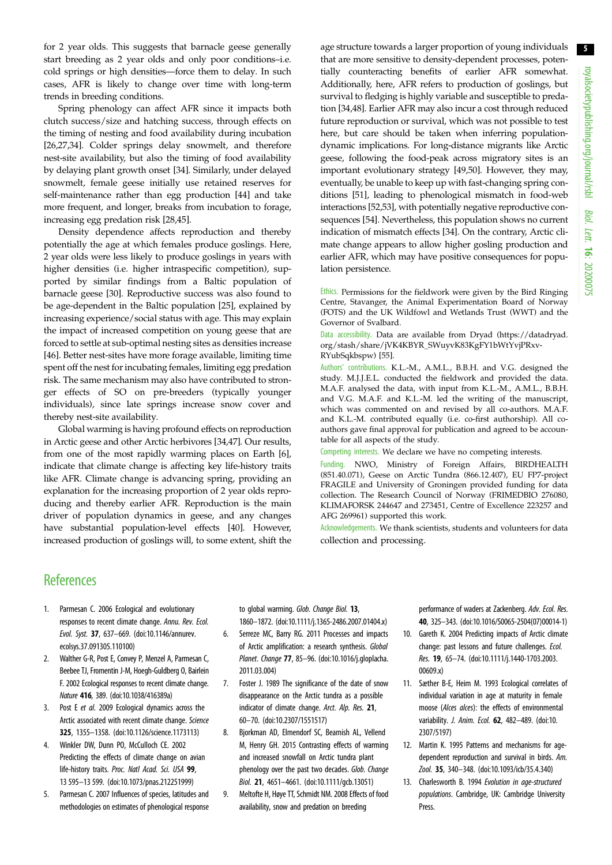5

<span id="page-4-0"></span>for 2 year olds. This suggests that barnacle geese generally start breeding as 2 year olds and only poor conditions–i.e. cold springs or high densities—force them to delay. In such cases, AFR is likely to change over time with long-term trends in breeding conditions.

Spring phenology can affect AFR since it impacts both clutch success/size and hatching success, through effects on the timing of nesting and food availability during incubation [\[26,27](#page-5-0),[34](#page-5-0)]. Colder springs delay snowmelt, and therefore nest-site availability, but also the timing of food availability by delaying plant growth onset [\[34](#page-5-0)]. Similarly, under delayed snowmelt, female geese initially use retained reserves for self-maintenance rather than egg production [\[44](#page-5-0)] and take more frequent, and longer, breaks from incubation to forage, increasing egg predation risk [\[28,45](#page-5-0)].

Density dependence affects reproduction and thereby potentially the age at which females produce goslings. Here, 2 year olds were less likely to produce goslings in years with higher densities (i.e. higher intraspecific competition), supported by similar findings from a Baltic population of barnacle geese [\[30](#page-5-0)]. Reproductive success was also found to be age-dependent in the Baltic population [\[25](#page-5-0)], explained by increasing experience/social status with age. This may explain the impact of increased competition on young geese that are forced to settle at sub-optimal nesting sites as densities increase [\[46](#page-5-0)]. Better nest-sites have more forage available, limiting time spent off the nest for incubating females, limiting egg predation risk. The same mechanism may also have contributed to stronger effects of SO on pre-breeders (typically younger individuals), since late springs increase snow cover and thereby nest-site availability.

Global warming is having profound effects on reproduction in Arctic geese and other Arctic herbivores [\[34,47\]](#page-5-0). Our results, from one of the most rapidly warming places on Earth [6], indicate that climate change is affecting key life-history traits like AFR. Climate change is advancing spring, providing an explanation for the increasing proportion of 2 year olds reproducing and thereby earlier AFR. Reproduction is the main driver of population dynamics in geese, and any changes have substantial population-level effects [[40](#page-5-0)]. However, increased production of goslings will, to some extent, shift the age structure towards a larger proportion of young individuals that are more sensitive to density-dependent processes, potentially counteracting benefits of earlier AFR somewhat. Additionally, here, AFR refers to production of goslings, but survival to fledging is highly variable and susceptible to predation [\[34,48\]](#page-5-0). Earlier AFR may also incur a cost through reduced future reproduction or survival, which was not possible to test here, but care should be taken when inferring populationdynamic implications. For long-distance migrants like Arctic geese, following the food-peak across migratory sites is an important evolutionary strategy [\[49,50](#page-5-0)]. However, they may, eventually, be unable to keep up with fast-changing spring conditions [\[51](#page-5-0)], leading to phenological mismatch in food-web interactions [\[52,53\]](#page-5-0), with potentially negative reproductive consequences [[54](#page-5-0)]. Nevertheless, this population shows no current indication of mismatch effects [\[34](#page-5-0)]. On the contrary, Arctic climate change appears to allow higher gosling production and earlier AFR, which may have positive consequences for population persistence.

Ethics. Permissions for the fieldwork were given by the Bird Ringing Centre, Stavanger, the Animal Experimentation Board of Norway (FOTS) and the UK Wildfowl and Wetlands Trust (WWT) and the Governor of Svalbard.

Data accessibility. Data are available from Dryad [\(https://datadryad.](https://datadryad.org/stash/share/jVK4KBYR_SWuyvK83KgFY1bWtYvjPRxvRYubSqkbspw) [org/stash/share/jVK4KBYR\\_SWuyvK83KgFY1bWtYvjPRxv-](https://datadryad.org/stash/share/jVK4KBYR_SWuyvK83KgFY1bWtYvjPRxvRYubSqkbspw)[RYubSqkbspw](https://datadryad.org/stash/share/jVK4KBYR_SWuyvK83KgFY1bWtYvjPRxvRYubSqkbspw)) [\[55](#page-5-0)].

Authors' contributions. K.L.-M., A.M.L., B.B.H. and V.G. designed the study. M.J.J.E.L. conducted the fieldwork and provided the data. M.A.F. analysed the data, with input from K.L.-M., A.M.L., B.B.H. and V.G. M.A.F. and K.L.-M. led the writing of the manuscript, which was commented on and revised by all co-authors. M.A.F. and K.L.-M. contributed equally (i.e. co-first authorship). All coauthors gave final approval for publication and agreed to be accountable for all aspects of the study.

Competing interests. We declare we have no competing interests.

Funding. NWO, Ministry of Foreign Affairs, BIRDHEALTH (851.40.071), Geese on Arctic Tundra (866.12.407), EU FP7-project FRAGILE and University of Groningen provided funding for data collection. The Research Council of Norway (FRIMEDBIO 276080, KLIMAFORSK 244647 and 273451, Centre of Excellence 223257 and AFG 269961) supported this work.

Acknowledgements. We thank scientists, students and volunteers for data collection and processing.

## **References**

- 1. Parmesan C. 2006 Ecological and evolutionary responses to recent climate change. Annu. Rev. Ecol. Evol. Syst. 37, 637–669. [\(doi:10.1146/annurev.](http://dx.doi.org/10.1146/annurev.ecolsys.37.091305.110100) [ecolsys.37.091305.110100](http://dx.doi.org/10.1146/annurev.ecolsys.37.091305.110100))
- 2. Walther G-R, Post E, Convey P, Menzel A, Parmesan C, Beebee TJ, Fromentin J-M, Hoegh-Guldberg O, Bairlein F. 2002 Ecological responses to recent climate change. Nature 416, 389. [\(doi:10.1038/416389a](http://dx.doi.org/10.1038/416389a))
- 3. Post E et al. 2009 Ecological dynamics across the Arctic associated with recent climate change. Science 325, 1355–1358. [\(doi:10.1126/science.1173113\)](http://dx.doi.org/10.1126/science.1173113)
- 4. Winkler DW, Dunn PO, McCulloch CE. 2002 Predicting the effects of climate change on avian life-history traits. Proc. Natl Acad. Sci. USA 99, 13 595–13 599. ([doi:10.1073/pnas.212251999](http://dx.doi.org/10.1073/pnas.212251999))
- 5. Parmesan C. 2007 Influences of species, latitudes and methodologies on estimates of phenological response

to global warming. Glob. Change Biol. 13,

- 1860–1872. [\(doi:10.1111/j.1365-2486.2007.01404.x\)](http://dx.doi.org/10.1111/j.1365-2486.2007.01404.x) 6. Serreze MC, Barry RG. 2011 Processes and impacts of Arctic amplification: a research synthesis. Global Planet. Change 77, 85–96. [\(doi:10.1016/j.gloplacha.](http://dx.doi.org/10.1016/j.gloplacha.2011.03.004) [2011.03.004\)](http://dx.doi.org/10.1016/j.gloplacha.2011.03.004)
- 7. Foster J. 1989 The significance of the date of snow disappearance on the Arctic tundra as a possible indicator of climate change. Arct. Alp. Res. 21, 60–70. ([doi:10.2307/1551517](http://dx.doi.org/10.2307/1551517))
- 8. Bjorkman AD, Elmendorf SC, Beamish AL, Vellend M, Henry GH. 2015 Contrasting effects of warming and increased snowfall on Arctic tundra plant phenology over the past two decades. Glob. Change Biol. 21, 4651–4661. [\(doi:10.1111/gcb.13051](http://dx.doi.org/10.1111/gcb.13051))
- 9. Meltofte H, Høye TT, Schmidt NM. 2008 Effects of food availability, snow and predation on breeding

performance of waders at Zackenberg. Adv. Ecol. Res. 40, 325–343. [\(doi:10.1016/S0065-2504\(07\)00014-1\)](http://dx.doi.org/10.1016/S0065-2504(07)00014-1)

- 10. Gareth K. 2004 Predicting impacts of Arctic climate change: past lessons and future challenges. Ecol. Res. 19, 65–74. [\(doi:10.1111/j.1440-1703.2003.](http://dx.doi.org/10.1111/j.1440-1703.2003.00609.x) [00609.x](http://dx.doi.org/10.1111/j.1440-1703.2003.00609.x))
- 11. Sæther B-E, Heim M. 1993 Ecological correlates of individual variation in age at maturity in female moose (Alces alces): the effects of environmental variability. J. Anim. Ecol. **62**, 482-489. ([doi:10.](http://dx.doi.org/10.2307/5197) [2307/5197](http://dx.doi.org/10.2307/5197))
- 12. Martin K. 1995 Patterns and mechanisms for agedependent reproduction and survival in birds. Am. Zool. 35, 340–348. [\(doi:10.1093/icb/35.4.340\)](http://dx.doi.org/10.1093/icb/35.4.340)
- 13. Charlesworth B. 1994 Evolution in age-structured populations. Cambridge, UK: Cambridge University Press.